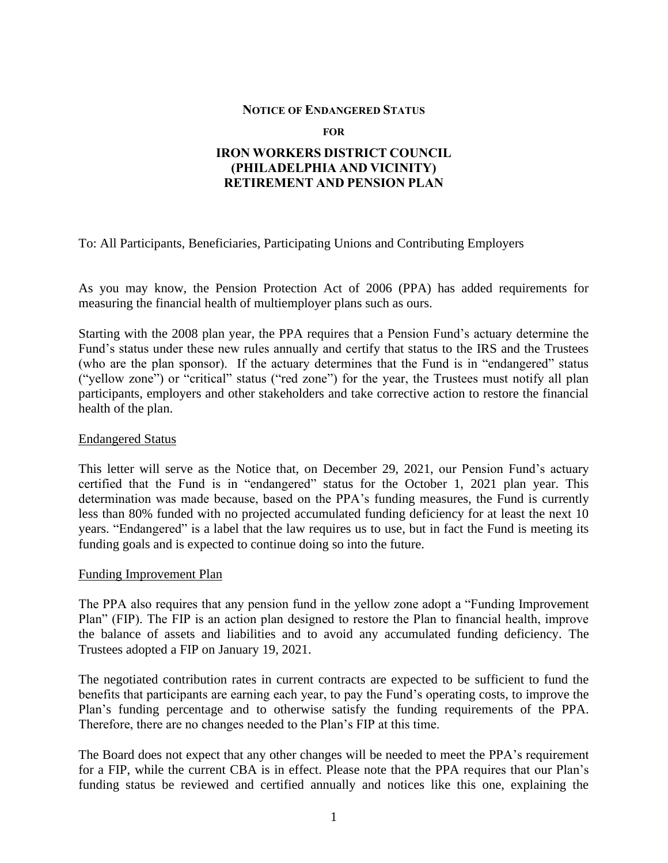## **NOTICE OF ENDANGERED STATUS**

**FOR**

## **IRON WORKERS DISTRICT COUNCIL (PHILADELPHIA AND VICINITY) RETIREMENT AND PENSION PLAN**

To: All Participants, Beneficiaries, Participating Unions and Contributing Employers

As you may know, the Pension Protection Act of 2006 (PPA) has added requirements for measuring the financial health of multiemployer plans such as ours.

Starting with the 2008 plan year, the PPA requires that a Pension Fund's actuary determine the Fund's status under these new rules annually and certify that status to the IRS and the Trustees (who are the plan sponsor). If the actuary determines that the Fund is in "endangered" status ("yellow zone") or "critical" status ("red zone") for the year, the Trustees must notify all plan participants, employers and other stakeholders and take corrective action to restore the financial health of the plan.

## Endangered Status

This letter will serve as the Notice that, on December 29, 2021, our Pension Fund's actuary certified that the Fund is in "endangered" status for the October 1, 2021 plan year. This determination was made because, based on the PPA's funding measures, the Fund is currently less than 80% funded with no projected accumulated funding deficiency for at least the next 10 years. "Endangered" is a label that the law requires us to use, but in fact the Fund is meeting its funding goals and is expected to continue doing so into the future.

## Funding Improvement Plan

The PPA also requires that any pension fund in the yellow zone adopt a "Funding Improvement Plan" (FIP). The FIP is an action plan designed to restore the Plan to financial health, improve the balance of assets and liabilities and to avoid any accumulated funding deficiency. The Trustees adopted a FIP on January 19, 2021.

The negotiated contribution rates in current contracts are expected to be sufficient to fund the benefits that participants are earning each year, to pay the Fund's operating costs, to improve the Plan's funding percentage and to otherwise satisfy the funding requirements of the PPA. Therefore, there are no changes needed to the Plan's FIP at this time.

The Board does not expect that any other changes will be needed to meet the PPA's requirement for a FIP, while the current CBA is in effect. Please note that the PPA requires that our Plan's funding status be reviewed and certified annually and notices like this one, explaining the